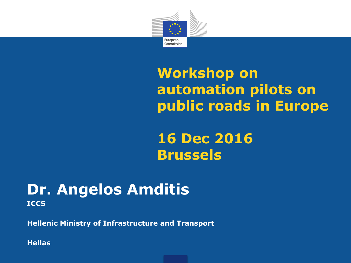

## **Workshop on automation pilots on public roads in Europe**

**16 Dec 2016 Brussels**

#### **Dr. Angelos Amditis ICCS**

**Hellenic Ministry of Infrastructure and Transport**

**Hellas**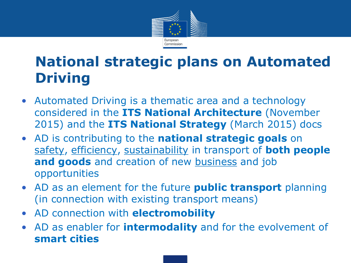

## **National strategic plans on Automated Driving**

- Automated Driving is a thematic area and a technology considered in the **ITS National Architecture** (November 2015) and the **ITS National Strategy** (March 2015) docs
- AD is contributing to the **national strategic goals** on safety, efficiency, sustainability in transport of **both people**  and goods and creation of new **business** and job opportunities
- AD as an element for the future **public transport** planning (in connection with existing transport means)
- AD connection with **electromobility**
- AD as enabler for **intermodality** and for the evolvement of **smart cities**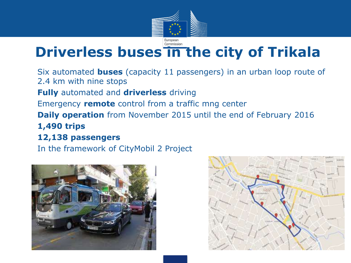

## **Driverless buses in the city of Trikala**

• Six automated **buses** (capacity 11 passengers) in an urban loop route of 2.4 km with nine stops • **Fully** automated and **driverless** driving • Emergency **remote** control from a traffic mng center **Daily operation** from November 2015 until the end of February 2016 • **1,490 trips**  • **12,138 passengers**

• In the framework of CityMobil 2 Project



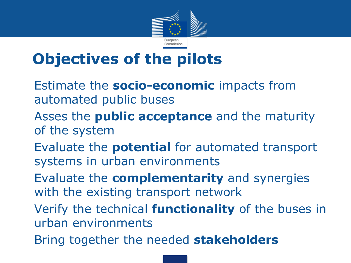

# **Objectives of the pilots**

- **Estimate the socio-economic impacts from** automated public buses
- Asses the **public acceptance** and the maturity of the system
- Evaluate the **potential** for automated transport systems in urban environments
- Evaluate the **complementarity** and synergies with the existing transport network
- Verify the technical **functionality** of the buses in urban environments
- Bring together the needed **stakeholders**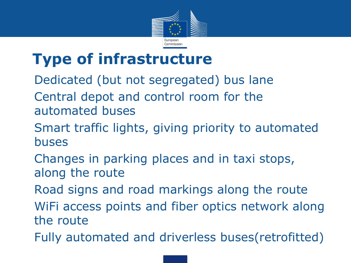

## **Type of infrastructure**

- Dedicated (but not segregated) bus lane
- Central depot and control room for the automated buses
- Smart traffic lights, giving priority to automated buses
- Changes in parking places and in taxi stops, along the route
- Road signs and road markings along the route
- WiFi access points and fiber optics network along the route
- Fully automated and driverless buses(retrofitted)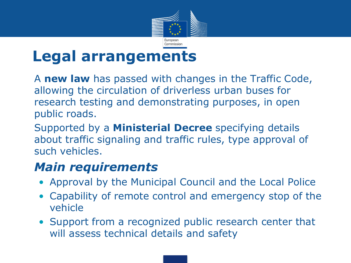

## **Legal arrangements**

• A **new law** has passed with changes in the Traffic Code, allowing the circulation of driverless urban buses for research testing and demonstrating purposes, in open public roads.

• Supported by a **Ministerial Decree** specifying details about traffic signaling and traffic rules, type approval of such vehicles.

#### • *Main requirements*

- Approval by the Municipal Council and the Local Police
- Capability of remote control and emergency stop of the vehicle
- Support from a recognized public research center that will assess technical details and safety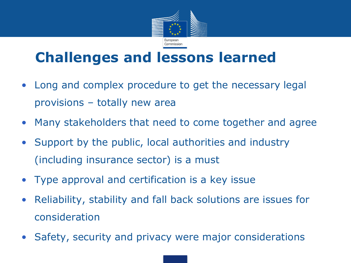

### **Challenges and lessons learned**

- Long and complex procedure to get the necessary legal provisions – totally new area
- Many stakeholders that need to come together and agree
- Support by the public, local authorities and industry (including insurance sector) is a must
- Type approval and certification is a key issue
- Reliability, stability and fall back solutions are issues for consideration
- Safety, security and privacy were major considerations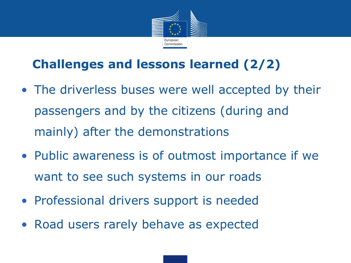

### **Challenges and lessons learned (2/2)**

- The driverless buses were well accepted by their passengers and by the citizens (during and mainly) after the demonstrations
- Public awareness is of outmost importance if we want to see such systems in our roads
- Professional drivers support is needed
- Road users rarely behave as expected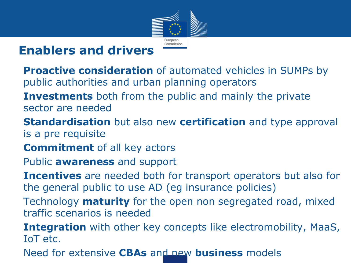

### **Enablers and drivers**

- **Proactive consideration** of automated vehicles in SUMPs by public authorities and urban planning operators
- **Investments** both from the public and mainly the private sector are needed
- **Standardisation** but also new **certification** and type approval is a pre requisite
- **Commitment** of all key actors
- Public **awareness** and support
- **Incentives** are needed both for transport operators but also for the general public to use AD (eg insurance policies)
- Technology **maturity** for the open non segregated road, mixed traffic scenarios is needed
- **Integration** with other key concepts like electromobility, MaaS, IoT etc.
- Need for extensive **CBAs** and new **business** models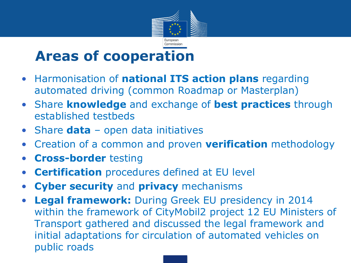

### **Areas of cooperation**

- Harmonisation of **national ITS action plans** regarding automated driving (common Roadmap or Masterplan)
- Share **knowledge** and exchange of **best practices** through established testbeds
- Share **data** open data initiatives
- Creation of a common and proven **verification** methodology
- **Cross-border** testing
- **Certification** procedures defined at EU level
- **Cyber security** and **privacy** mechanisms
- **Legal framework:** During Greek EU presidency in 2014 within the framework of CityMobil2 project 12 EU Ministers of Transport gathered and discussed the legal framework and initial adaptations for circulation of automated vehicles on public roads